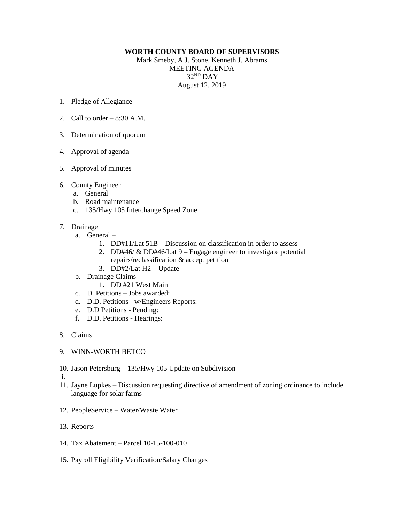## **WORTH COUNTY BOARD OF SUPERVISORS**

Mark Smeby, A.J. Stone, Kenneth J. Abrams MEETING AGENDA 32ND DAY August 12, 2019

- 1. Pledge of Allegiance
- 2. Call to order  $-8:30$  A.M.
- 3. Determination of quorum
- 4. Approval of agenda
- 5. Approval of minutes
- 6. County Engineer
	- a. General
	- b. Road maintenance
	- c. 135/Hwy 105 Interchange Speed Zone
- 7. Drainage
	- a. General
		- 1. DD#11/Lat 51B Discussion on classification in order to assess
		- 2. DD#46/ & DD#46/Lat 9 Engage engineer to investigate potential
		- repairs/reclassification & accept petition
		- 3. DD#2/Lat H2 Update
	- b. Drainage Claims
		- 1. DD #21 West Main
	- c. D. Petitions Jobs awarded:
	- d. D.D. Petitions w/Engineers Reports:
	- e. D.D Petitions Pending:
	- f. D.D. Petitions Hearings:
- 8. Claims
- 9. WINN-WORTH BETCO
- 10. Jason Petersburg 135/Hwy 105 Update on Subdivision
- i.
- 11. Jayne Lupkes Discussion requesting directive of amendment of zoning ordinance to include language for solar farms
- 12. PeopleService Water/Waste Water
- 13. Reports
- 14. Tax Abatement Parcel 10-15-100-010
- 15. Payroll Eligibility Verification/Salary Changes